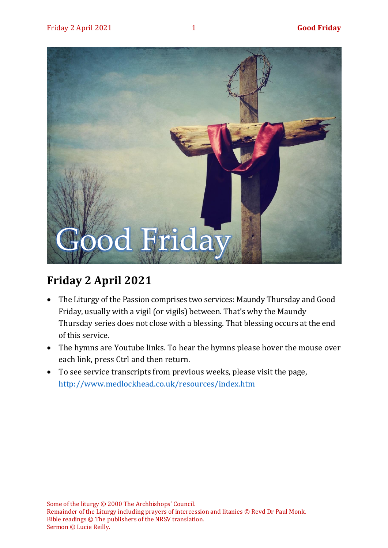

# **Friday 2 April 2021**

- The Liturgy of the Passion comprises two services: Maundy Thursday and Good Friday, usually with a vigil (or vigils) between. That's why the Maundy Thursday series does not close with a blessing. That blessing occurs at the end of this service.
- The hymns are Youtube links. To hear the hymns please hover the mouse over each link, press Ctrl and then return.
- To see service transcripts from previous weeks, please visit the page, <http://www.medlockhead.co.uk/resources/index.htm>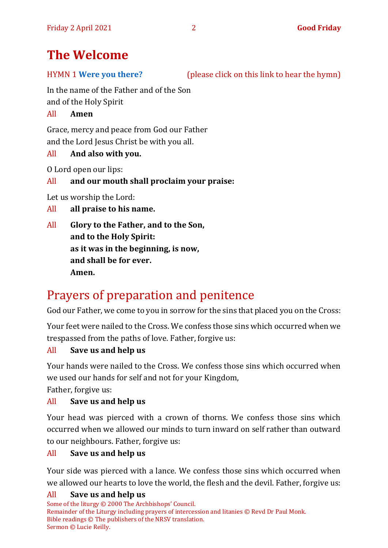# **The Welcome**

HYMN 1 **[Were you there?](https://www.youtube.com/watch?v=mJUX733ovGI)** (please click on this link to hear the hymn)

In the name of the Father and of the Son and of the Holy Spirit

## All **Amen**

Grace, mercy and peace from God our Father and the Lord Jesus Christ be with you all.

# All **And also with you.**

O Lord open our lips:

# All **and our mouth shall proclaim your praise:**

Let us worship the Lord:

All **all praise to his name.**

All **Glory to the Father, and to the Son, and to the Holy Spirit: as it was in the beginning, is now, and shall be for ever. Amen.**

# Prayers of preparation and penitence

God our Father, we come to you in sorrow for the sins that placed you on the Cross:

Your feet were nailed to the Cross. We confess those sins which occurred when we trespassed from the paths of love. Father, forgive us:

## All **Save us and help us**

Your hands were nailed to the Cross. We confess those sins which occurred when we used our hands for self and not for your Kingdom,

Father, forgive us:

# All **Save us and help us**

Your head was pierced with a crown of thorns. We confess those sins which occurred when we allowed our minds to turn inward on self rather than outward to our neighbours. Father, forgive us:

# All **Save us and help us**

Your side was pierced with a lance. We confess those sins which occurred when we allowed our hearts to love the world, the flesh and the devil. Father, forgive us:

## All **Save us and help us**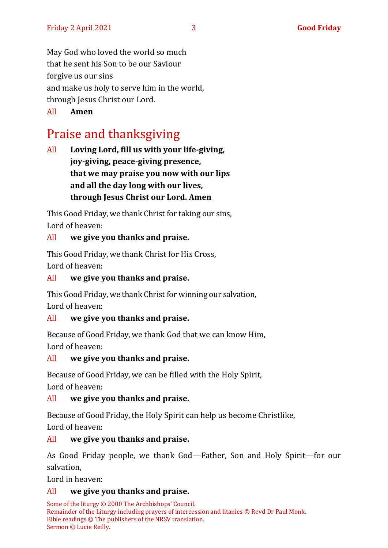May God who loved the world so much that he sent his Son to be our Saviour forgive us our sins and make us holy to serve him in the world, through Jesus Christ our Lord.

All **Amen**

# Praise and thanksgiving

All **Loving Lord, fill us with your life-giving, joy-giving, peace-giving presence, that we may praise you now with our lips and all the day long with our lives, through Jesus Christ our Lord. Amen**

This Good Friday, we thank Christ for taking our sins, Lord of heaven:

# All **we give you thanks and praise.**

This Good Friday, we thank Christ for His Cross, Lord of heaven:

# All **we give you thanks and praise.**

This Good Friday, we thank Christ for winning our salvation, Lord of heaven:

# All **we give you thanks and praise.**

Because of Good Friday, we thank God that we can know Him, Lord of heaven:

# All **we give you thanks and praise.**

Because of Good Friday, we can be filled with the Holy Spirit, Lord of heaven:

# All **we give you thanks and praise.**

Because of Good Friday, the Holy Spirit can help us become Christlike, Lord of heaven:

# All **we give you thanks and praise.**

As Good Friday people, we thank God—Father, Son and Holy Spirit—for our salvation,

Lord in heaven:

# All **we give you thanks and praise.**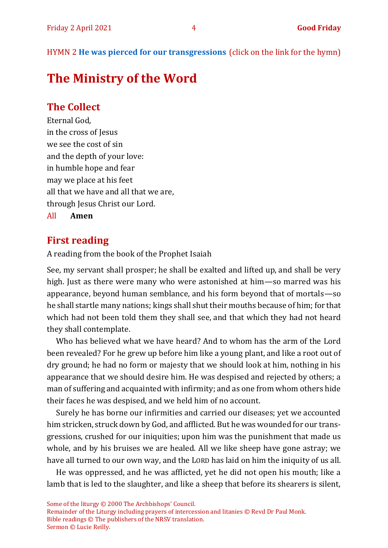HYMN 2 **[He was pierced for our transgressions](https://www.youtube.com/watch?v=QzdYPWgzrrc)** (click on the link for the hymn)

# **The Ministry of the Word**

# **The Collect**

Eternal God, in the cross of Jesus we see the cost of sin and the depth of your love: in humble hope and fear may we place at his feet all that we have and all that we are, through Jesus Christ our Lord.

All **Amen**

# **First reading**

A reading from the book of the Prophet Isaiah

See, my servant shall prosper; he shall be exalted and lifted up, and shall be very high. Just as there were many who were astonished at him—so marred was his appearance, beyond human semblance, and his form beyond that of mortals—so he shall startle many nations; kings shall shut their mouths because of him; for that which had not been told them they shall see, and that which they had not heard they shall contemplate.

Who has believed what we have heard? And to whom has the arm of the Lord been revealed? For he grew up before him like a young plant, and like a root out of dry ground; he had no form or majesty that we should look at him, nothing in his appearance that we should desire him. He was despised and rejected by others; a man of suffering and acquainted with infirmity; and as one from whom others hide their faces he was despised, and we held him of no account.

Surely he has borne our infirmities and carried our diseases; yet we accounted him stricken, struck down by God, and afflicted. But he was wounded for our transgressions, crushed for our iniquities; upon him was the punishment that made us whole, and by his bruises we are healed. All we like sheep have gone astray; we have all turned to our own way, and the LORD has laid on him the iniquity of us all.

He was oppressed, and he was afflicted, yet he did not open his mouth; like a lamb that is led to the slaughter, and like a sheep that before its shearers is silent,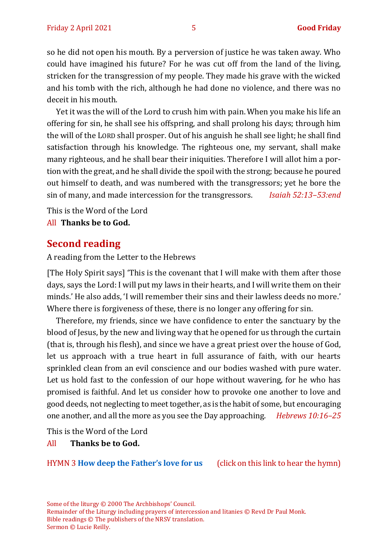so he did not open his mouth. By a perversion of justice he was taken away. Who could have imagined his future? For he was cut off from the land of the living, stricken for the transgression of my people. They made his grave with the wicked and his tomb with the rich, although he had done no violence, and there was no deceit in his mouth.

Yet it was the will of the Lord to crush him with pain.When you make his life an offering for sin, he shall see his offspring, and shall prolong his days; through him the will of the LORD shall prosper. Out of his anguish he shall see light; he shall find satisfaction through his knowledge. The righteous one, my servant, shall make many righteous, and he shall bear their iniquities. Therefore I will allot him a portion with the great, and he shall divide the spoil with the strong; because he poured out himself to death, and was numbered with the transgressors; yet he bore the sin of many, and made intercession for the transgressors. *Isaiah 52:13–53:end*

This is the Word of the Lord All **Thanks be to God.**

# **Second reading**

A reading from the Letter to the Hebrews

[The Holy Spirit says] 'This is the covenant that I will make with them after those days, says the Lord: I will put my laws in their hearts, and I will write them on their minds.' He also adds, 'I will remember their sins and their lawless deeds no more.' Where there is forgiveness of these, there is no longer any offering for sin.

Therefore, my friends, since we have confidence to enter the sanctuary by the blood of Jesus, by the new and living way that he opened for us through the curtain (that is, through his flesh), and since we have a great priest over the house of God, let us approach with a true heart in full assurance of faith, with our hearts sprinkled clean from an evil conscience and our bodies washed with pure water. Let us hold fast to the confession of our hope without wavering, for he who has promised is faithful. And let us consider how to provoke one another to love and good deeds, not neglecting to meet together, as is the habit of some, but encouraging one another, and all the more as you see the Day approaching. *Hebrews 10:16–25*

This is the Word of the Lord

## All **Thanks be to God.**

HYMN 3 **[How deep the Father's love for us](https://www.youtube.com/watch?v=e9FG12eTSbI)** (click on this link to hear the hymn)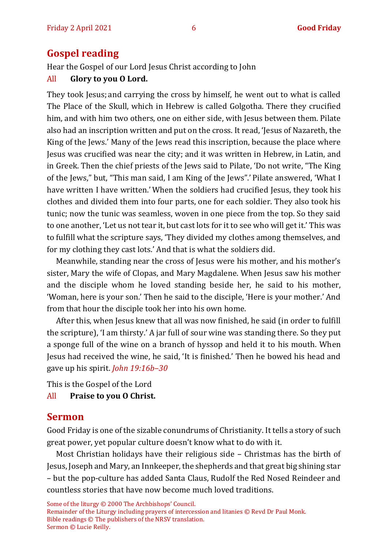# **Gospel reading**

Hear the Gospel of our Lord Jesus Christ according to John

## All **Glory to you O Lord.**

They took Jesus; and carrying the cross by himself, he went out to what is called The Place of the Skull, which in Hebrew is called Golgotha. There they crucified him, and with him two others, one on either side, with Jesus between them. Pilate also had an inscription written and put on the cross. It read, 'Jesus of Nazareth, the King of the Jews.' Many of the Jews read this inscription, because the place where Jesus was crucified was near the city; and it was written in Hebrew, in Latin, and in Greek. Then the chief priests of the Jews said to Pilate, 'Do not write, "The King of the Jews," but, "This man said, I am King of the Jews".' Pilate answered, 'What I have written I have written.' When the soldiers had crucified Jesus, they took his clothes and divided them into four parts, one for each soldier. They also took his tunic; now the tunic was seamless, woven in one piece from the top. So they said to one another, 'Let us not tear it, but cast lots for it to see who will get it.' This was to fulfill what the scripture says, 'They divided my clothes among themselves, and for my clothing they cast lots.' And that is what the soldiers did.

Meanwhile, standing near the cross of Jesus were his mother, and his mother's sister, Mary the wife of Clopas, and Mary Magdalene. When Jesus saw his mother and the disciple whom he loved standing beside her, he said to his mother, 'Woman, here is your son.' Then he said to the disciple, 'Here is your mother.' And from that hour the disciple took her into his own home.

After this, when Jesus knew that all was now finished, he said (in order to fulfill the scripture), 'I am thirsty.' A jar full of sour wine was standing there. So they put a sponge full of the wine on a branch of hyssop and held it to his mouth. When Jesus had received the wine, he said, 'It is finished.' Then he bowed his head and gave up his spirit. *John 19:16b–30*

This is the Gospel of the Lord All **Praise to you O Christ.** 

# **Sermon**

Good Friday is one of the sizable conundrums of Christianity. It tells a story of such great power, yet popular culture doesn't know what to do with it.

Most Christian holidays have their religious side – Christmas has the birth of Jesus, Joseph and Mary, an Innkeeper, the shepherds and that great big shining star – but the pop-culture has added Santa Claus, Rudolf the Red Nosed Reindeer and countless stories that have now become much loved traditions.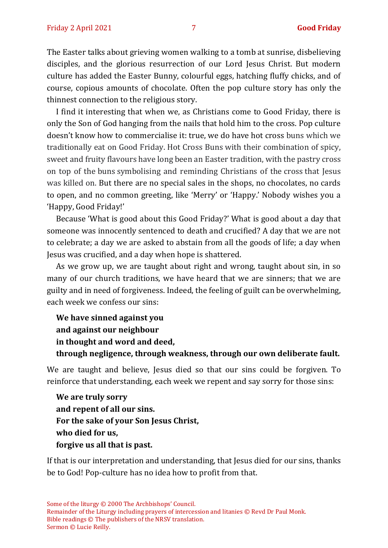The Easter talks about grieving women walking to a tomb at sunrise, disbelieving disciples, and the glorious resurrection of our Lord Jesus Christ. But modern culture has added the Easter Bunny, colourful eggs, hatching fluffy chicks, and of course, copious amounts of chocolate. Often the pop culture story has only the thinnest connection to the religious story.

I find it interesting that when we, as Christians come to Good Friday, there is only the Son of God hanging from the nails that hold him to the cross. Pop culture doesn't know how to commercialise it: true, we do have hot cross buns which we traditionally eat on Good Friday. Hot Cross Buns with their combination of spicy, sweet and fruity flavours have long been an Easter tradition, with the pastry cross on top of the buns symbolising and reminding Christians of the cross that Jesus was killed on. But there are no special sales in the shops, no chocolates, no cards to open, and no common greeting, like 'Merry' or 'Happy.' Nobody wishes you a 'Happy, Good Friday!'

Because 'What is good about this Good Friday?' What is good about a day that someone was innocently sentenced to death and crucified? A day that we are not to celebrate; a day we are asked to abstain from all the goods of life; a day when Jesus was crucified, and a day when hope is shattered.

As we grow up, we are taught about right and wrong, taught about sin, in so many of our church traditions, we have heard that we are sinners; that we are guilty and in need of forgiveness. Indeed, the feeling of guilt can be overwhelming, each week we confess our sins:

```
We have sinned against you
and against our neighbour
in thought and word and deed,
through negligence, through weakness, through our own deliberate fault.
```
We are taught and believe, Jesus died so that our sins could be forgiven. To reinforce that understanding, each week we repent and say sorry for those sins:

**We are truly sorry and repent of all our sins. For the sake of your Son Jesus Christ, who died for us, forgive us all that is past.**

If that is our interpretation and understanding, that Jesus died for our sins, thanks be to God! Pop-culture has no idea how to profit from that.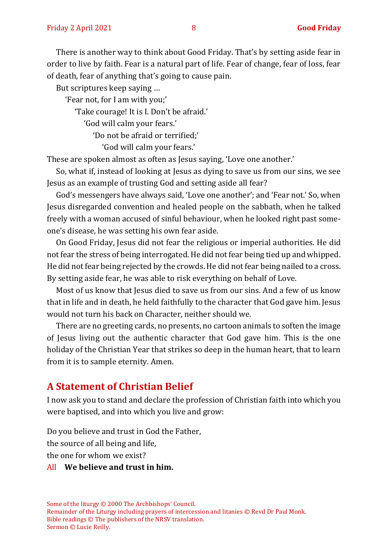There is another way to think about Good Friday. That's by setting aside fear in order to live by faith. Fear is a natural part of life. Fear of change, fear of loss, fear of death, fear of anything that's going to cause pain.

But scriptures keep saying …

'Fear not, for I am with you;'

'Take courage! It is I. Don't be afraid.'

'God will calm your fears.'

'Do not be afraid or terrified;'

'God will calm your fears.'

These are spoken almost as often as Jesus saying, 'Love one another.'

So, what if, instead of looking at Jesus as dying to save us from our sins, we see Jesus as an example of trusting God and setting aside all fear?

God's messengers have always said, 'Love one another'; and 'Fear not.' So, when Jesus disregarded convention and healed people on the sabbath, when he talked freely with a woman accused of sinful behaviour, when he looked right past someone's disease, he was setting his own fear aside.

On Good Friday, Jesus did not fear the religious or imperial authorities. He did not fear the stress of being interrogated. He did not fear being tied up and whipped. He did not fear being rejected by the crowds. He did not fear being nailed to a cross. By setting aside fear, he was able to risk everything on behalf of Love.

Most of us know that Jesus died to save us from our sins. And a few of us know that in life and in death, he held faithfully to the character that God gave him. Jesus would not turn his back on Character, neither should we.

There are no greeting cards, no presents, no cartoon animals to soften the image of Jesus living out the authentic character that God gave him. This is the one holiday of the Christian Year that strikes so deep in the human heart, that to learn from it is to sample eternity. Amen.

# **A Statement of Christian Belief**

I now ask you to stand and declare the profession of Christian faith into which you were baptised, and into which you live and grow:

Do you believe and trust in God the Father,

the source of all being and life,

the one for whom we exist?

#### All **We believe and trust in him.**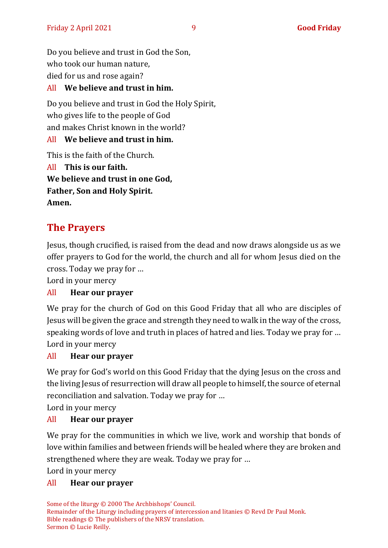Do you believe and trust in God the Son, who took our human nature, died for us and rose again?

## All **We believe and trust in him.**

Do you believe and trust in God the Holy Spirit, who gives life to the people of God and makes Christ known in the world?

# All **We believe and trust in him.**

This is the faith of the Church. All **This is our faith. We believe and trust in one God, Father, Son and Holy Spirit. Amen.**

# **The Prayers**

Jesus, though crucified, is raised from the dead and now draws alongside us as we offer prayers to God for the world, the church and all for whom Jesus died on the cross. Today we pray for …

Lord in your mercy

# All **Hear our prayer**

We pray for the church of God on this Good Friday that all who are disciples of Jesus will be given the grace and strength they need to walk in the way of the cross, speaking words of love and truth in places of hatred and lies. Today we pray for … Lord in your mercy

## All **Hear our prayer**

We pray for God's world on this Good Friday that the dying Jesus on the cross and the living Jesus of resurrection will draw all people to himself, the source of eternal reconciliation and salvation. Today we pray for …

Lord in your mercy

# All **Hear our prayer**

We pray for the communities in which we live, work and worship that bonds of love within families and between friends will be healed where they are broken and strengthened where they are weak. Today we pray for …

Lord in your mercy

## All **Hear our prayer**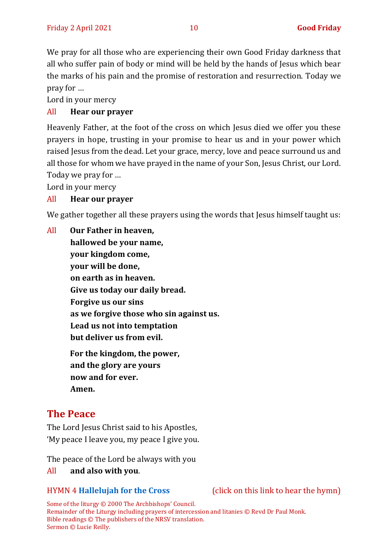We pray for all those who are experiencing their own Good Friday darkness that all who suffer pain of body or mind will be held by the hands of Jesus which bear the marks of his pain and the promise of restoration and resurrection. Today we pray for …

Lord in your mercy

# All **Hear our prayer**

Heavenly Father, at the foot of the cross on which Jesus died we offer you these prayers in hope, trusting in your promise to hear us and in your power which raised Jesus from the dead. Let your grace, mercy, love and peace surround us and all those for whom we have prayed in the name of your Son, Jesus Christ, our Lord. Today we pray for …

Lord in your mercy

#### All **Hear our prayer**

We gather together all these prayers using the words that Jesus himself taught us:

All **Our Father in heaven,**

**hallowed be your name, your kingdom come, your will be done, on earth as in heaven. Give us today our daily bread. Forgive us our sins as we forgive those who sin against us. Lead us not into temptation but deliver us from evil. For the kingdom, the power, and the glory are yours**

**now and for ever. Amen.**

# **The Peace**

The Lord Jesus Christ said to his Apostles, 'My peace I leave you, my peace I give you.

The peace of the Lord be always with you

All **and also with you**.

HYMN 4 **[Hallelujah for the Cross](https://www.youtube.com/watch?v=710eqhcJq7Y)** (click on this link to hear the hymn)